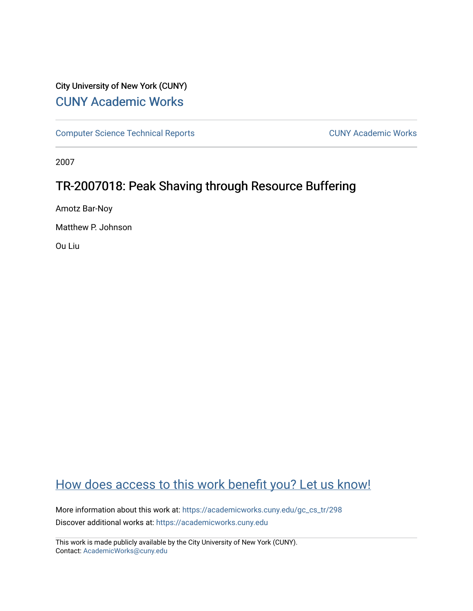# City University of New York (CUNY) [CUNY Academic Works](https://academicworks.cuny.edu/)

[Computer Science Technical Reports](https://academicworks.cuny.edu/gc_cs_tr) **CUNY Academic Works** CUNY Academic Works

2007

# TR-2007018: Peak Shaving through Resource Buffering

Amotz Bar-Noy

Matthew P. Johnson

Ou Liu

# [How does access to this work benefit you? Let us know!](http://ols.cuny.edu/academicworks/?ref=https://academicworks.cuny.edu/gc_cs_tr/298)

More information about this work at: [https://academicworks.cuny.edu/gc\\_cs\\_tr/298](https://academicworks.cuny.edu/gc_cs_tr/298)  Discover additional works at: [https://academicworks.cuny.edu](https://academicworks.cuny.edu/?)

This work is made publicly available by the City University of New York (CUNY). Contact: [AcademicWorks@cuny.edu](mailto:AcademicWorks@cuny.edu)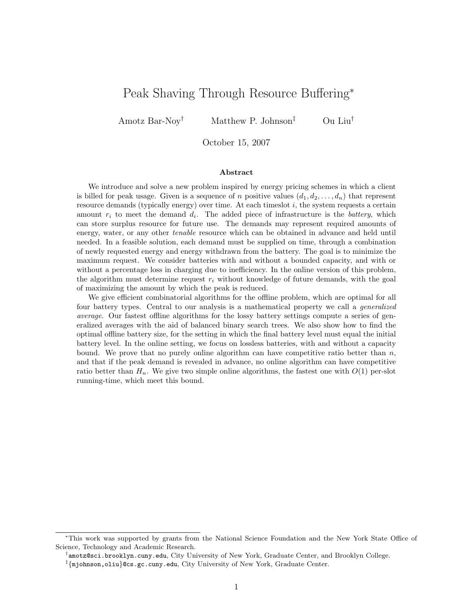# Peak Shaving Through Resource Buffering<sup>∗</sup>

Amotz Bar-Noy<sup>†</sup> Matthew P. Johnson<sup>‡</sup> Ou Liu<sup>†</sup>

October 15, 2007

#### Abstract

We introduce and solve a new problem inspired by energy pricing schemes in which a client is billed for peak usage. Given is a sequence of n positive values  $(d_1, d_2, \ldots, d_n)$  that represent resource demands (typically energy) over time. At each times of i, the system requests a certain amount  $r_i$  to meet the demand  $d_i$ . The added piece of infrastructure is the *battery*, which can store surplus resource for future use. The demands may represent required amounts of energy, water, or any other *tenable* resource which can be obtained in advance and held until needed. In a feasible solution, each demand must be supplied on time, through a combination of newly requested energy and energy withdrawn from the battery. The goal is to minimize the maximum request. We consider batteries with and without a bounded capacity, and with or without a percentage loss in charging due to inefficiency. In the online version of this problem, the algorithm must determine request  $r_i$  without knowledge of future demands, with the goal of maximizing the amount by which the peak is reduced.

We give efficient combinatorial algorithms for the offline problem, which are optimal for all four battery types. Central to our analysis is a mathematical property we call a generalized average. Our fastest offline algorithms for the lossy battery settings compute a series of generalized averages with the aid of balanced binary search trees. We also show how to find the optimal offline battery size, for the setting in which the final battery level must equal the initial battery level. In the online setting, we focus on lossless batteries, with and without a capacity bound. We prove that no purely online algorithm can have competitive ratio better than  $n$ , and that if the peak demand is revealed in advance, no online algorithm can have competitive ratio better than  $H_n$ . We give two simple online algorithms, the fastest one with  $O(1)$  per-slot running-time, which meet this bound.

<sup>∗</sup>This work was supported by grants from the National Science Foundation and the New York State Office of Science, Technology and Academic Research.

<sup>†</sup> amotz@sci.brooklyn.cuny.edu, City University of New York, Graduate Center, and Brooklyn College.

<sup>‡</sup> {mjohnson,oliu}@cs.gc.cuny.edu, City University of New York, Graduate Center.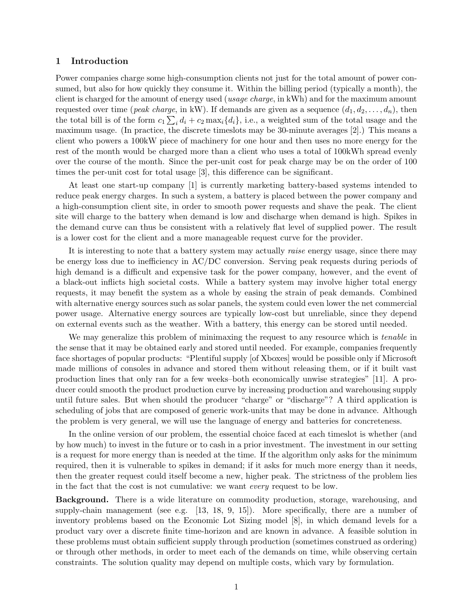## 1 Introduction

Power companies charge some high-consumption clients not just for the total amount of power consumed, but also for how quickly they consume it. Within the billing period (typically a month), the client is charged for the amount of energy used (usage charge, in kWh) and for the maximum amount requested over time (*peak charge*, in kW). If demands are given as a sequence  $(d_1, d_2, \ldots, d_n)$ , then the total bill is of the form  $c_1 \sum_i d_i + c_2 \max_i \{d_i\}$ , i.e., a weighted sum of the total usage and the maximum usage. (In practice, the discrete timeslots may be 30-minute averages [2].) This means a client who powers a 100kW piece of machinery for one hour and then uses no more energy for the rest of the month would be charged more than a client who uses a total of 100kWh spread evenly over the course of the month. Since the per-unit cost for peak charge may be on the order of 100 times the per-unit cost for total usage [3], this difference can be significant.

At least one start-up company [1] is currently marketing battery-based systems intended to reduce peak energy charges. In such a system, a battery is placed between the power company and a high-consumption client site, in order to smooth power requests and shave the peak. The client site will charge to the battery when demand is low and discharge when demand is high. Spikes in the demand curve can thus be consistent with a relatively flat level of supplied power. The result is a lower cost for the client and a more manageable request curve for the provider.

It is interesting to note that a battery system may actually raise energy usage, since there may be energy loss due to inefficiency in AC/DC conversion. Serving peak requests during periods of high demand is a difficult and expensive task for the power company, however, and the event of a black-out inflicts high societal costs. While a battery system may involve higher total energy requests, it may benefit the system as a whole by easing the strain of peak demands. Combined with alternative energy sources such as solar panels, the system could even lower the net commercial power usage. Alternative energy sources are typically low-cost but unreliable, since they depend on external events such as the weather. With a battery, this energy can be stored until needed.

We may generalize this problem of minimaxing the request to any resource which is *tenable* in the sense that it may be obtained early and stored until needed. For example, companies frequently face shortages of popular products: "Plentiful supply [of Xboxes] would be possible only if Microsoft made millions of consoles in advance and stored them without releasing them, or if it built vast production lines that only ran for a few weeks–both economically unwise strategies" [11]. A producer could smooth the product production curve by increasing production and warehousing supply until future sales. But when should the producer "charge" or "discharge"? A third application is scheduling of jobs that are composed of generic work-units that may be done in advance. Although the problem is very general, we will use the language of energy and batteries for concreteness.

In the online version of our problem, the essential choice faced at each timeslot is whether (and by how much) to invest in the future or to cash in a prior investment. The investment in our setting is a request for more energy than is needed at the time. If the algorithm only asks for the minimum required, then it is vulnerable to spikes in demand; if it asks for much more energy than it needs, then the greater request could itself become a new, higher peak. The strictness of the problem lies in the fact that the cost is not cumulative: we want every request to be low.

Background. There is a wide literature on commodity production, storage, warehousing, and supply-chain management (see e.g. [13, 18, 9, 15]). More specifically, there are a number of inventory problems based on the Economic Lot Sizing model [8], in which demand levels for a product vary over a discrete finite time-horizon and are known in advance. A feasible solution in these problems must obtain sufficient supply through production (sometimes construed as ordering) or through other methods, in order to meet each of the demands on time, while observing certain constraints. The solution quality may depend on multiple costs, which vary by formulation.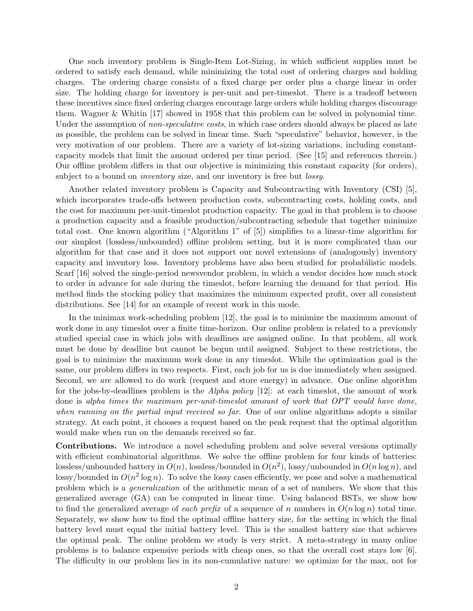One such inventory problem is Single-Item Lot-Sizing, in which sufficient supplies must be ordered to satisfy each demand, while minimizing the total cost of ordering charges and holding charges. The ordering charge consists of a fixed charge per order plus a charge linear in order size. The holding charge for inventory is per-unit and per-timeslot. There is a tradeoff between these incentives since fixed ordering charges encourage large orders while holding charges discourage them. Wagner & Whitin [17] showed in 1958 that this problem can be solved in polynomial time. Under the assumption of *non-speculative costs*, in which case orders should always be placed as late as possible, the problem can be solved in linear time. Such "speculative" behavior, however, is the very motivation of our problem. There are a variety of lot-sizing variations, including constantcapacity models that limit the amount ordered per time period. (See [15] and references therein.) Our offline problem differs in that our objective is minimizing this constant capacity (for orders), subject to a bound on *inventory* size, and our inventory is free but *lossy*.

Another related inventory problem is Capacity and Subcontracting with Inventory (CSI) [5], which incorporates trade-offs between production costs, subcontracting costs, holding costs, and the cost for maximum per-unit-timeslot production capacity. The goal in that problem is to choose a production capacity and a feasible production/subcontracting schedule that together minimize total cost. One known algorithm ("Algorithm 1" of [5]) simplifies to a linear-time algorithm for our simplest (lossless/unbounded) offline problem setting, but it is more complicated than our algorithm for that case and it does not support our novel extensions of (analogously) inventory capacity and inventory loss. Inventory problems have also been studied for probabilistic models. Scarf [16] solved the single-period newsvendor problem, in which a vendor decides how much stock to order in advance for sale during the timeslot, before learning the demand for that period. His method finds the stocking policy that maximizes the minimum expected profit, over all consistent distributions. See [14] for an example of recent work in this mode.

In the minimax work-scheduling problem [12], the goal is to minimize the maximum amount of work done in any timeslot over a finite time-horizon. Our online problem is related to a previously studied special case in which jobs with deadlines are assigned online. In that problem, all work must be done by deadline but cannot be begun until assigned. Subject to these restrictions, the goal is to minimize the maximum work done in any timeslot. While the optimization goal is the same, our problem differs in two respects. First, each job for us is due immediately when assigned. Second, we are allowed to do work (request and store energy) in advance. One online algorithm for the jobs-by-deadlines problem is the *Alpha policy*  $[12]$ : at each timeslot, the amount of work done is alpha times the maximum per-unit-timeslot amount of work that OPT would have done, when running on the partial input received so far. One of our online algorithms adopts a similar strategy. At each point, it chooses a request based on the peak request that the optimal algorithm would make when run on the demands received so far.

Contributions. We introduce a novel scheduling problem and solve several versions optimally with efficient combinatorial algorithms. We solve the offline problem for four kinds of batteries: lossless/unbounded battery in  $O(n)$ , lossless/bounded in  $O(n^2)$ , lossy/unbounded in  $O(n \log n)$ , and lossy/bounded in  $O(n^2 \log n)$ . To solve the lossy cases efficiently, we pose and solve a mathematical problem which is a generalization of the arithmetic mean of a set of numbers. We show that this generalized average (GA) can be computed in linear time. Using balanced BSTs, we show how to find the generalized average of each prefix of a sequence of n numbers in  $O(n \log n)$  total time. Separately, we show how to find the optimal offline battery size, for the setting in which the final battery level must equal the initial battery level. This is the smallest battery size that achieves the optimal peak. The online problem we study is very strict. A meta-strategy in many online problems is to balance expensive periods with cheap ones, so that the overall cost stays low [6]. The difficulty in our problem lies in its non-cumulative nature: we optimize for the max, not for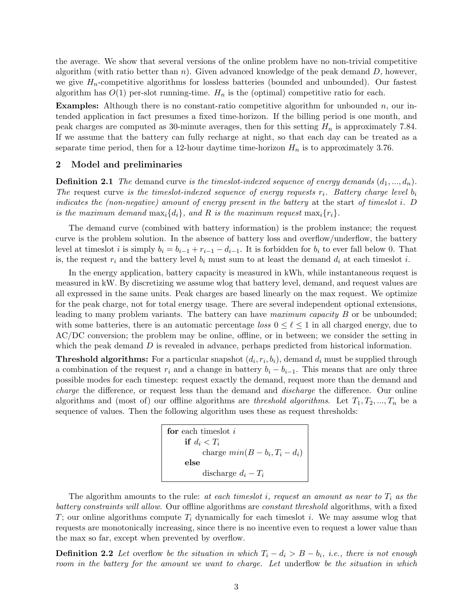the average. We show that several versions of the online problem have no non-trivial competitive algorithm (with ratio better than n). Given advanced knowledge of the peak demand  $D$ , however, we give  $H_n$ -competitive algorithms for lossless batteries (bounded and unbounded). Our fastest algorithm has  $O(1)$  per-slot running-time.  $H_n$  is the (optimal) competitive ratio for each.

**Examples:** Although there is no constant-ratio competitive algorithm for unbounded  $n$ , our intended application in fact presumes a fixed time-horizon. If the billing period is one month, and peak charges are computed as 30-minute averages, then for this setting  $H_n$  is approximately 7.84. If we assume that the battery can fully recharge at night, so that each day can be treated as a separate time period, then for a 12-hour daytime time-horizon  $H_n$  is to approximately 3.76.

### 2 Model and preliminaries

**Definition 2.1** The demand curve is the timeslot-indexed sequence of energy demands  $(d_1, ..., d_n)$ . The request curve is the timeslot-indexed sequence of energy requests  $r_i$ . Battery charge level  $b_i$ indicates the (non-negative) amount of energy present in the battery at the start of timeslot i. D is the maximum demand  $\max_i \{d_i\}$ , and R is the maximum request  $\max_i \{r_i\}$ .

The demand curve (combined with battery information) is the problem instance; the request curve is the problem solution. In the absence of battery loss and overflow/underflow, the battery level at timeslot i is simply  $b_i = b_{i-1} + r_{i-1} - d_{i-1}$ . It is forbidden for  $b_i$  to ever fall below 0. That is, the request  $r_i$  and the battery level  $b_i$  must sum to at least the demand  $d_i$  at each timeslot i.

In the energy application, battery capacity is measured in kWh, while instantaneous request is measured in kW. By discretizing we assume wlog that battery level, demand, and request values are all expressed in the same units. Peak charges are based linearly on the max request. We optimize for the peak charge, not for total energy usage. There are several independent optional extensions, leading to many problem variants. The battery can have maximum capacity B or be unbounded; with some batteries, there is an automatic percentage loss  $0 \leq \ell \leq 1$  in all charged energy, due to AC/DC conversion; the problem may be online, offline, or in between; we consider the setting in which the peak demand D is revealed in advance, perhaps predicted from historical information.

**Threshold algorithms:** For a particular snapshot  $(d_i, r_i, b_i)$ , demand  $d_i$  must be supplied through a combination of the request  $r_i$  and a change in battery  $b_i - b_{i-1}$ . This means that are only three possible modes for each timestep: request exactly the demand, request more than the demand and charge the difference, or request less than the demand and discharge the difference. Our online algorithms and (most of) our offline algorithms are threshold algorithms. Let  $T_1, T_2, ..., T_n$  be a sequence of values. Then the following algorithm uses these as request thresholds:

```
for each timeslot iif d_i < T_icharge min(B - b_i, T_i - d_i)else
discharge d_i-T_i
```
The algorithm amounts to the rule: at each timeslot i, request an amount as near to  $T_i$  as the battery constraints will allow. Our offline algorithms are constant threshold algorithms, with a fixed T; our online algorithms compute  $T_i$  dynamically for each timeslot i. We may assume wlog that requests are monotonically increasing, since there is no incentive even to request a lower value than the max so far, except when prevented by overflow.

**Definition 2.2** Let overflow be the situation in which  $T_i - d_i > B - b_i$ , i.e., there is not enough room in the battery for the amount we want to charge. Let underflow be the situation in which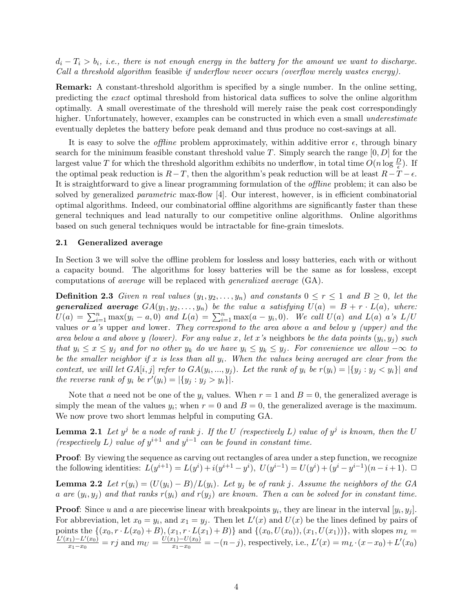$d_i - T_i > b_i$ , i.e., there is not enough energy in the battery for the amount we want to discharge. Call a threshold algorithm feasible if underflow never occurs (overflow merely wastes energy).

Remark: A constant-threshold algorithm is specified by a single number. In the online setting, predicting the exact optimal threshold from historical data suffices to solve the online algorithm optimally. A small overestimate of the threshold will merely raise the peak cost correspondingly higher. Unfortunately, however, examples can be constructed in which even a small *underestimate* eventually depletes the battery before peak demand and thus produce no cost-savings at all.

It is easy to solve the *offline* problem approximately, within additive error  $\epsilon$ , through binary search for the minimum feasible constant threshold value T. Simply search the range  $[0, D]$  for the largest value T for which the threshold algorithm exhibits no underflow, in total time  $O(n \log \frac{D}{\epsilon})$ . If the optimal peak reduction is  $R-T$ , then the algorithm's peak reduction will be at least  $R-T-\epsilon$ . It is straightforward to give a linear programming formulation of the offline problem; it can also be solved by generalized parametric max-flow [4]. Our interest, however, is in efficient combinatorial optimal algorithms. Indeed, our combinatorial offline algorithms are significantly faster than these general techniques and lead naturally to our competitive online algorithms. Online algorithms based on such general techniques would be intractable for fine-grain timeslots.

#### 2.1 Generalized average

In Section 3 we will solve the offline problem for lossless and lossy batteries, each with or without a capacity bound. The algorithms for lossy batteries will be the same as for lossless, except computations of average will be replaced with generalized average (GA).

**Definition 2.3** Given n real values  $(y_1, y_2, \ldots, y_n)$  and constants  $0 \le r \le 1$  and  $B \ge 0$ , let the **generalized average**  $GA(y_1, y_2, \ldots, y_n)$  be the value a satisfying  $U(a) = B + r \cdot L(a)$ , where:  $U(a) = \sum_{i=1}^{n} \max(y_i - a, 0)$  and  $L(a) = \sum_{i=1}^{n} \max(a - y_i, 0)$ . We call  $U(a)$  and  $L(a)$  a's  $L/U$ values or a's upper and lower. They correspond to the area above a and below y (upper) and the area below a and above y (lower). For any value x, let x's neighbors be the data points  $(y_i, y_j)$  such that  $y_i \leq x \leq y_j$  and for no other  $y_k$  do we have  $y_i \leq y_k \leq y_j$ . For convenience we allow  $-\infty$  to be the smaller neighbor if x is less than all  $y_i$ . When the values being averaged are clear from the context, we will let  $GA[i, j]$  refer to  $GA(y_i, ..., y_j)$ . Let the rank of  $y_i$  be  $r(y_i) = |\{y_j : y_j < y_i\}|$  and the reverse rank of  $y_i$  be  $r'(y_i) = |\{y_j : y_j > y_i\}|$ .

Note that a need not be one of the  $y_i$  values. When  $r = 1$  and  $B = 0$ , the generalized average is simply the mean of the values  $y_i$ ; when  $r = 0$  and  $B = 0$ , the generalized average is the maximum. We now prove two short lemmas helpful in computing GA.

**Lemma 2.1** Let  $y^j$  be a node of rank j. If the U (respectively L) value of  $y^j$  is known, then the U (respectively L) value of  $y^{i+1}$  and  $y^{i-1}$  can be found in constant time.

Proof: By viewing the sequence as carving out rectangles of area under a step function, we recognize the following identities:  $L(y^{i+1}) = L(y^i) + i(y^{i+1} - y^i)$ ,  $U(y^{i-1}) = U(y^i) + (y^i - y^{i-1})(n - i + 1)$ .  $\Box$ 

**Lemma 2.2** Let  $r(y_i) = (U(y_i) - B)/L(y_i)$ . Let  $y_j$  be of rank j. Assume the neighbors of the GA a are  $(y_i, y_j)$  and that ranks  $r(y_i)$  and  $r(y_j)$  are known. Then a can be solved for in constant time.

**Proof:** Since u and a are piecewise linear with breakpoints  $y_i$ , they are linear in the interval  $[y_i, y_j]$ . For abbreviation, let  $x_0 = y_i$ , and  $x_1 = y_j$ . Then let  $L'(x)$  and  $U(x)$  be the lines defined by pairs of points the  $\{(x_0, r \cdot L(x_0) + B), (x_1, r \cdot L(x_1) + B)\}\$  and  $\{(x_0, U(x_0)), (x_1, U(x_1))\}\$ , with slopes  $m_L =$  $L'(x_1) - L'(x_0)$  $\frac{x_1 - L'(x_0)}{x_1 - x_0} = rj$  and  $m_U = \frac{U(x_1) - U(x_0)}{x_1 - x_0}$  $x_1 - U(x_0) = -(n-j)$ , respectively, i.e.,  $L'(x) = m_L \cdot (x-x_0) + L'(x_0)$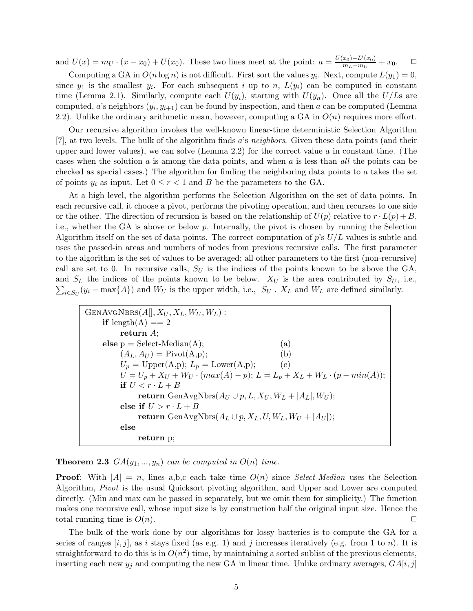and  $U(x) = m_U \cdot (x - x_0) + U(x_0)$ . These two lines meet at the point:  $a = \frac{U(x_0) - L'(x_0)}{m_I - m_U}$  $\frac{x_0 - L'(x_0)}{m_L - m_U} + x_0$ .  $\Box$ 

Computing a GA in  $O(n \log n)$  is not difficult. First sort the values  $y_i$ . Next, compute  $L(y_1) = 0$ , since  $y_1$  is the smallest  $y_i$ . For each subsequent i up to n,  $L(y_i)$  can be computed in constant time (Lemma 2.1). Similarly, compute each  $U(y_i)$ , starting with  $U(y_n)$ . Once all the  $U/Ls$  are computed, a's neighbors  $(y_i, y_{i+1})$  can be found by inspection, and then a can be computed (Lemma 2.2). Unlike the ordinary arithmetic mean, however, computing a GA in  $O(n)$  requires more effort.

Our recursive algorithm invokes the well-known linear-time deterministic Selection Algorithm [7], at two levels. The bulk of the algorithm finds a's neighbors. Given these data points (and their upper and lower values), we can solve (Lemma 2.2) for the correct value  $a$  in constant time. (The cases when the solution  $a$  is among the data points, and when  $a$  is less than all the points can be checked as special cases.) The algorithm for finding the neighboring data points to  $a$  takes the set of points  $y_i$  as input. Let  $0 \le r < 1$  and B be the parameters to the GA.

At a high level, the algorithm performs the Selection Algorithm on the set of data points. In each recursive call, it choose a pivot, performs the pivoting operation, and then recurses to one side or the other. The direction of recursion is based on the relationship of  $U(p)$  relative to  $r \cdot L(p) + B$ , i.e., whether the GA is above or below  $p$ . Internally, the pivot is chosen by running the Selection Algorithm itself on the set of data points. The correct computation of  $p$ 's  $U/L$  values is subtle and uses the passed-in areas and numbers of nodes from previous recursive calls. The first parameter to the algorithm is the set of values to be averaged; all other parameters to the first (non-recursive) call are set to 0. In recursive calls,  $S_U$  is the indices of the points known to be above the GA, and  $S_L$  the indices of the points known to be below.  $X_U$  is the area contributed by  $S_U$ , i.e.,  $\sum_{i \in S_U} (y_i - \max\{A\})$  and  $W_U$  is the upper width, i.e.,  $|S_U|$ .  $X_L$  and  $W_L$  are defined similarly.

$$
GenAVGNBRS(A[], X_U, X_L, W_U, W_L):\nif length(A) == 2\nreturn A;\nelse p = Select-Median(A); (a)\n(AL, AU) = Pivot(A,p); (b)\nUp = Upper(A,p); Lp = Lower(A,p); (c)\nU = Up + XU + WU · (max(A) - p); L = Lp + XL + WL · (p - min(A));\nif U < r · L + B\nreturn GenAvgNbrs(AU ∪ p, L, XU, WL + |AL|, WU);\nelse if U > r · L + B\nreturn GenAvgNbrs(AL ∪ p, XL, U, WL, WU + |AU|);\nelse\nreturn p;
$$

**Theorem 2.3**  $GA(y_1, ..., y_n)$  can be computed in  $O(n)$  time.

**Proof:** With  $|A| = n$ , lines a,b,c each take time  $O(n)$  since *Select-Median* uses the Selection Algorithm, Pivot is the usual Quicksort pivoting algorithm, and Upper and Lower are computed directly. (Min and max can be passed in separately, but we omit them for simplicity.) The function makes one recursive call, whose input size is by construction half the original input size. Hence the total running time is  $O(n)$ .

The bulk of the work done by our algorithms for lossy batteries is to compute the GA for a series of ranges  $[i, j]$ , as i stays fixed (as e.g. 1) and j increases iteratively (e.g. from 1 to n). It is straightforward to do this is in  $O(n^2)$  time, by maintaining a sorted sublist of the previous elements, inserting each new  $y_j$  and computing the new GA in linear time. Unlike ordinary averages,  $GA[i, j]$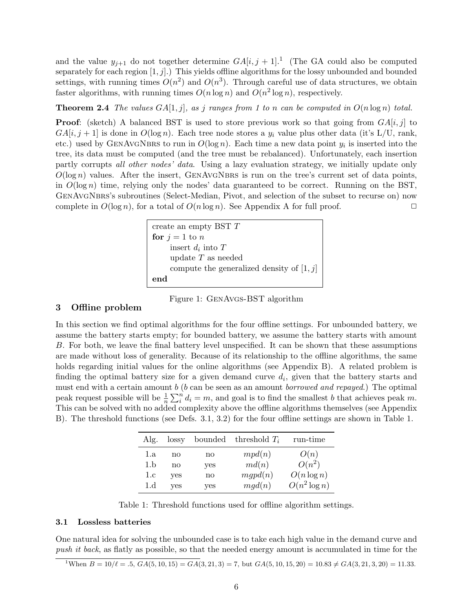and the value  $y_{j+1}$  do not together determine  $GA[i, j+1]$ .<sup>1</sup> (The GA could also be computed separately for each region  $[1, j]$ .) This yields offline algorithms for the lossy unbounded and bounded settings, with running times  $O(n^2)$  and  $O(n^3)$ . Through careful use of data structures, we obtain faster algorithms, with running times  $O(n \log n)$  and  $O(n^2 \log n)$ , respectively.

**Theorem 2.4** The values  $GA[1, j]$ , as j ranges from 1 to n can be computed in  $O(n \log n)$  total.

**Proof:** (sketch) A balanced BST is used to store previous work so that going from  $GA[i, j]$  to  $GA[i, j + 1]$  is done in  $O(\log n)$ . Each tree node stores a  $y_i$  value plus other data (it's L/U, rank, etc.) used by GENAVGNBRS to run in  $O(\log n)$ . Each time a new data point  $y_i$  is inserted into the tree, its data must be computed (and the tree must be rebalanced). Unfortunately, each insertion partly corrupts all other nodes' data. Using a lazy evaluation strategy, we initially update only  $O(\log n)$  values. After the insert, GENAVGNBRS is run on the tree's current set of data points, in  $O(\log n)$  time, relying only the nodes' data guaranteed to be correct. Running on the BST, GenAvgNbrs's subroutines (Select-Median, Pivot, and selection of the subset to recurse on) now complete in  $O(\log n)$ , for a total of  $O(n \log n)$ . See Appendix A for full proof.

create an empty BST 
$$
T
$$
  
\n**for**  $j = 1$  to *n*  
\ninsert  $d_i$  into  $T$   
\nupdate  $T$  as needed  
\ncompute the generalized density of  $[1, j]$   
\n**end**

Figure 1: GenAvgs-BST algorithm

# 3 Offline problem

In this section we find optimal algorithms for the four offline settings. For unbounded battery, we assume the battery starts empty; for bounded battery, we assume the battery starts with amount B. For both, we leave the final battery level unspecified. It can be shown that these assumptions are made without loss of generality. Because of its relationship to the offline algorithms, the same holds regarding initial values for the online algorithms (see Appendix B). A related problem is finding the optimal battery size for a given demand curve  $d_i$ , given that the battery starts and must end with a certain amount  $b$  ( $b$  can be seen as an amount *borrowed and repayed*.) The optimal peak request possible will be  $\frac{1}{n}\sum_{i=1}^{n}d_{i} = m$ , and goal is to find the smallest b that achieves peak m. This can be solved with no added complexity above the offline algorithms themselves (see Appendix B). The threshold functions (see Defs. 3.1, 3.2) for the four offline settings are shown in Table 1.

| Alg. | lossy |     | bounded threshold $T_i$ | run-time        |
|------|-------|-----|-------------------------|-----------------|
| 1.a  | no    | no  | mpd(n)                  | O(n)            |
| 1.b  | no    | yes | md(n)                   | $O(n^2)$        |
| 1.c  | yes   | no  | mgpd(n)                 | $O(n \log n)$   |
| 1.d  | yes   | yes | mgd(n)                  | $O(n^2 \log n)$ |

Table 1: Threshold functions used for offline algorithm settings.

### 3.1 Lossless batteries

One natural idea for solving the unbounded case is to take each high value in the demand curve and push it back, as flatly as possible, so that the needed energy amount is accumulated in time for the

<sup>1</sup>When  $B = 10/\ell = .5$ ,  $GA(5, 10, 15) = GA(3, 21, 3) = 7$ , but  $GA(5, 10, 15, 20) = 10.83 \neq GA(3, 21, 3, 20) = 11.33$ .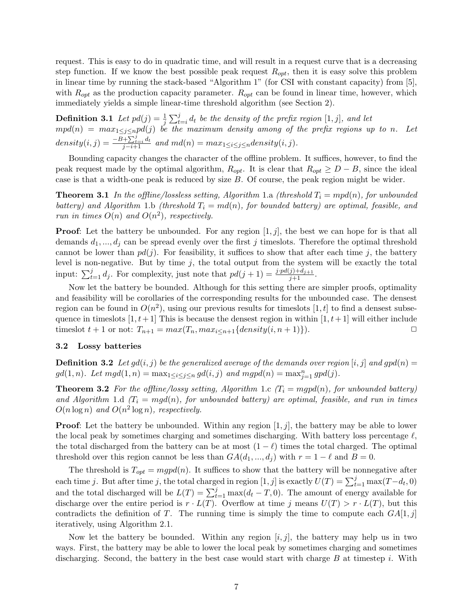request. This is easy to do in quadratic time, and will result in a request curve that is a decreasing step function. If we know the best possible peak request  $R_{opt}$ , then it is easy solve this problem in linear time by running the stack-based "Algorithm 1" (for CSI with constant capacity) from [5], with  $R_{opt}$  as the production capacity parameter.  $R_{opt}$  can be found in linear time, however, which immediately yields a simple linear-time threshold algorithm (see Section 2).

**Definition 3.1** Let  $pd(j) = \frac{1}{j} \sum_{t=i}^{j} d_t$  be the density of the prefix region  $[1, j]$ , and let  $mpd(n) = max_{1 \leq j \leq n} pd(j)$  be the maximum density among of the prefix regions up to n. Let  $density(i, j) = \frac{-B + \sum_{i=1}^{j} d_t}{j-i+1}$  and  $md(n) = max_{1 \leq i \leq j \leq n} density(i, j)$ .

Bounding capacity changes the character of the offline problem. It suffices, however, to find the peak request made by the optimal algorithm,  $R_{opt}$ . It is clear that  $R_{opt} \geq D - B$ , since the ideal case is that a width-one peak is reduced by size B. Of course, the peak region might be wider.

**Theorem 3.1** In the offline/lossless setting, Algorithm 1.a (threshold  $T_i = mpd(n)$ , for unbounded battery) and Algorithm 1.b (threshold  $T_i = md(n)$ , for bounded battery) are optimal, feasible, and run in times  $O(n)$  and  $O(n^2)$ , respectively.

**Proof:** Let the battery be unbounded. For any region  $[1, j]$ , the best we can hope for is that all demands  $d_1, ..., d_j$  can be spread evenly over the first j timeslots. Therefore the optimal threshold cannot be lower than  $pd(j)$ . For feasibility, it suffices to show that after each time j, the battery level is non-negative. But by time  $j$ , the total output from the system will be exactly the total input:  $\sum_{t=1}^{j} d_j$ . For complexity, just note that  $pd(j + 1) = \frac{j \cdot pd(j) + d_{j+1}}{j+1}$ .

Now let the battery be bounded. Although for this setting there are simpler proofs, optimality and feasibility will be corollaries of the corresponding results for the unbounded case. The densest region can be found in  $O(n^2)$ , using our previous results for timeslots [1, t] to find a densest subsequence in timeslots  $[1, t+1]$  This is because the densest region in within  $[1, t+1]$  will either include timeslot  $t + 1$  or not:  $T_{n+1} = max(T_n, max_{i \leq n+1} \{density(i, n+1)\}).$ 

### 3.2 Lossy batteries

**Definition 3.2** Let  $gd(i, j)$  be the generalized average of the demands over region [i, j] and  $gd(n)$  =  $gd(1, n)$ . Let  $mgd(1, n) = \max_{1 \leq i \leq j \leq n} gd(i, j)$  and  $mgpd(n) = \max_{j=1}^{n} gpd(j)$ .

**Theorem 3.2** For the offline/lossy setting, Algorithm 1.c  $T_i = mgp(d_n)$ , for unbounded battery) and Algorithm 1.d  $(T_i = mgd(n))$ , for unbounded battery) are optimal, feasible, and run in times  $O(n \log n)$  and  $O(n^2 \log n)$ , respectively.

**Proof:** Let the battery be unbounded. Within any region  $[1, j]$ , the battery may be able to lower the local peak by sometimes charging and sometimes discharging. With battery loss percentage  $\ell$ , the total discharged from the battery can be at most  $(1 - \ell)$  times the total charged. The optimal threshold over this region cannot be less than  $GA(d_1, ..., d_i)$  with  $r = 1 - \ell$  and  $B = 0$ .

The threshold is  $T_{opt} = mgp d(n)$ . It suffices to show that the battery will be nonnegative after each time j. But after time j, the total charged in region  $[1, j]$  is exactly  $U(T) = \sum_{t=1}^{j} \max(T - d_t, 0)$ and the total discharged will be  $L(T) = \sum_{t=1}^{j} \max(d_t - T, 0)$ . The amount of energy available for discharge over the entire period is  $r \cdot L(T)$ . Overflow at time j means  $U(T) > r \cdot L(T)$ , but this contradicts the definition of T. The running time is simply the time to compute each  $GA[1, j]$ iteratively, using Algorithm 2.1.

Now let the battery be bounded. Within any region  $[i, j]$ , the battery may help us in two ways. First, the battery may be able to lower the local peak by sometimes charging and sometimes discharging. Second, the battery in the best case would start with charge  $B$  at timestep i. With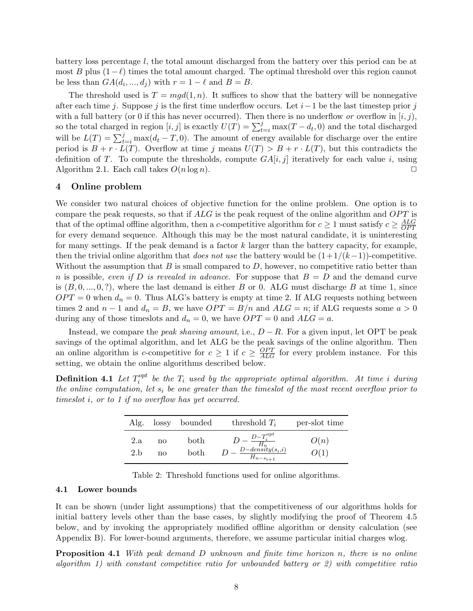battery loss percentage l, the total amount discharged from the battery over this period can be at most B plus  $(1-\ell)$  times the total amount charged. The optimal threshold over this region cannot be less than  $GA(d_i, ..., d_j)$  with  $r = 1 - \ell$  and  $B = B$ .

The threshold used is  $T = mgd(1, n)$ . It suffices to show that the battery will be nonnegative after each time j. Suppose j is the first time underflow occurs. Let  $i-1$  be the last timestep prior j with a full battery (or 0 if this has never occurred). Then there is no underflow or overflow in  $[i, j)$ , so the total charged in region  $[i, j]$  is exactly  $U(T) = \sum_{t=i}^{j} \max(T - d_t, 0)$  and the total discharged will be  $L(T) = \sum_{t=i}^{j} \max(d_t - T, 0)$ . The amount of energy available for discharge over the entire period is  $B + r \cdot L(T)$ . Overflow at time j means  $U(T) > B + r \cdot L(T)$ , but this contradicts the definition of T. To compute the thresholds, compute  $GA[i, j]$  iteratively for each value i, using Algorithm 2.1. Each call takes  $O(n \log n)$ .

## 4 Online problem

We consider two natural choices of objective function for the online problem. One option is to compare the peak requests, so that if  $ALG$  is the peak request of the online algorithm and  $OPT$  is that of the optimal offline algorithm, then a c-competitive algorithm for  $c \geq 1$  must satisfy  $c \geq \frac{ALG}{OPT}$  $\overline{OPT}$ for every demand sequence. Although this may be the most natural candidate, it is uninteresting for many settings. If the peak demand is a factor  $k$  larger than the battery capacity, for example, then the trivial online algorithm that does not use the battery would be  $(1+1/(k-1))$ -competitive. Without the assumption that  $B$  is small compared to  $D$ , however, no competitive ratio better than n is possible, even if D is revealed in advance. For suppose that  $B = D$  and the demand curve is  $(B, 0, ..., 0, ?)$ , where the last demand is either B or 0. ALG must discharge B at time 1, since  $OPT = 0$  when  $d_n = 0$ . Thus ALG's battery is empty at time 2. If ALG requests nothing between times 2 and  $n-1$  and  $d_n = B$ , we have  $OPT = B/n$  and  $ALG = n$ ; if ALG requests some  $a > 0$ during any of those timeslots and  $d_n = 0$ , we have  $OPT = 0$  and  $ALG = a$ .

Instead, we compare the *peak shaving amount*, i.e.,  $D - R$ . For a given input, let OPT be peak savings of the optimal algorithm, and let ALG be the peak savings of the online algorithm. Then an online algorithm is c-competitive for  $c \geq 1$  if  $c \geq \frac{OPT}{ALG}$  for every problem instance. For this setting, we obtain the online algorithms described below.

Definition 4.1 Let  $T_i^{opt}$  $\mathcal{E}_i^{opt}$  be the  $T_i$  used by the appropriate optimal algorithm. At time i during the online computation, let  $s_i$  be one greater than the timeslot of the most recent overflow prior to timeslot i, or to 1 if no overflow has yet occurred.

| Alg. |    | lossy bounded | threshold $T_i$                                            | per-slot time |
|------|----|---------------|------------------------------------------------------------|---------------|
| 2.a  | no | both          | $-\frac{D-T_i^{opt}}{H_n}$<br>$\frac{D-density(s_i,i)}{D}$ | O(n)          |
| 2.h  | no | both          | $\frac{b}{H_{n-s_{i+1}}}$                                  | 2(1)          |

Table 2: Threshold functions used for online algorithms.

## 4.1 Lower bounds

It can be shown (under light assumptions) that the competitiveness of our algorithms holds for initial battery levels other than the base cases, by slightly modifying the proof of Theorem 4.5 below, and by invoking the appropriately modified offline algorithm or density calculation (see Appendix B). For lower-bound arguments, therefore, we assume particular initial charges wlog.

**Proposition 4.1** With peak demand  $D$  unknown and finite time horizon  $n$ , there is no online algorithm 1) with constant competitive ratio for unbounded battery or 2) with competitive ratio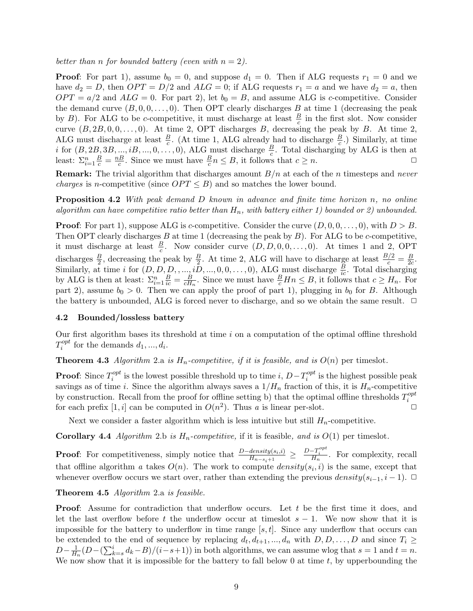better than n for bounded battery (even with  $n = 2$ ).

**Proof:** For part 1), assume  $b_0 = 0$ , and suppose  $d_1 = 0$ . Then if ALG requests  $r_1 = 0$  and we have  $d_2 = D$ , then  $OPT = D/2$  and  $ALG = 0$ ; if ALG requests  $r_1 = a$  and we have  $d_2 = a$ , then  $OPT = a/2$  and  $ALG = 0$ . For part 2), let  $b_0 = B$ , and assume ALG is c-competitive. Consider the demand curve  $(B, 0, 0, \ldots, 0)$ . Then OPT clearly discharges B at time 1 (decreasing the peak by B). For ALG to be c-competitive, it must discharge at least  $\frac{B}{c}$  in the first slot. Now consider curve  $(B, 2B, 0, 0, \ldots, 0)$ . At time 2, OPT discharges B, decreasing the peak by B. At time 2, ALG must discharge at least  $\frac{B}{c}$ . (At time 1, ALG already had to discharge  $\frac{B}{c}$ .) Similarly, at time i for  $(B, 2B, 3B, ..., iB, ..., 0, ..., 0)$ , ALG must discharge  $\frac{B}{c}$ . Total discharging by ALG is then at least:  $\sum_{i=1}^n \frac{B}{c} = \frac{nB}{c}$  $\frac{dB}{c}$ . Since we must have  $\frac{B}{c}n \leq B$ , it follows that  $c \geq n$ .

**Remark:** The trivial algorithm that discharges amount  $B/n$  at each of the n timesteps and never *charges* is *n*-competitive (since  $OPT \leq B$ ) and so matches the lower bound.

**Proposition 4.2** With peak demand  $D$  known in advance and finite time horizon  $n$ , no online algorithm can have competitive ratio better than  $H_n$ , with battery either 1) bounded or 2) unbounded.

**Proof:** For part 1), suppose ALG is c-competitive. Consider the curve  $(D, 0, 0, \ldots, 0)$ , with  $D > B$ . Then OPT clearly discharges B at time 1 (decreasing the peak by  $B$ ). For ALG to be c-competitive, it must discharge at least  $\frac{B}{c}$ . Now consider curve  $(D, D, 0, 0, \ldots, 0)$ . At times 1 and 2, OPT discharges  $\frac{B}{2}$ , decreasing the peak by  $\frac{B}{2}$ . At time 2, ALG will have to discharge at least  $\frac{B/2}{c} = \frac{B}{2c}$  $\frac{B}{2c}$ . Similarly, at time i for  $(D, D, D, ..., i\overline{D}, ..., 0, 0, ..., 0)$ , ALG must discharge  $\frac{B}{ic}$ . Total discharging by ALG is then at least:  $\Sigma_{i=1}^n \frac{B}{ic} = \frac{B}{cH}$  $\frac{B}{cH_n}$ . Since we must have  $\frac{B}{c}Hn \leq B$ , it follows that  $c \geq H_n$ . For part 2), assume  $b_0 > 0$ . Then we can apply the proof of part 1), plugging in  $b_0$  for B. Although the battery is unbounded, ALG is forced never to discharge, and so we obtain the same result.  $\Box$ 

# 4.2 Bounded/lossless battery

Our first algorithm bases its threshold at time  $i$  on a computation of the optimal offline threshold  $T_i^{opt}$ <sup>opt</sup> for the demands  $d_1, ..., d_i$ .

**Theorem 4.3** Algorithm 2.a is  $H_n$ -competitive, if it is feasible, and is  $O(n)$  per timeslot.

**Proof:** Since  $T_i^{opt}$ <sup>opt</sup> is the lowest possible threshold up to time  $i$ ,  $D-T_i^{opt}$  $i^{opt}$  is the highest possible peak savings as of time i. Since the algorithm always saves a  $1/H_n$  fraction of this, it is  $H_n$ -competitive by construction. Recall from the proof for offline setting b) that the optimal offline thresholds  $T_i^{opt}$ i for each prefix  $[1, i]$  can be computed in  $O(n^2)$ . Thus a is linear per-slot.

Next we consider a faster algorithm which is less intuitive but still  $H_n$ -competitive.

**Corollary 4.4** Algorithm 2.b is  $H_n$ -competitive, if it is feasible, and is  $O(1)$  per timeslot.

**Proof:** For competitiveness, simply notice that  $\frac{D - density(s_i, i)}{H_{n-s_i+1}} \geq \frac{D - T_i^{opt}}{H_n}$ . For complexity, recall that offline algorithm a takes  $O(n)$ . The work to compute  $density(s_i, i)$  is the same, except that whenever overflow occurs we start over, rather than extending the previous  $density(s_{i-1}, i-1)$ .  $\Box$ 

Theorem 4.5 Algorithm 2.a is feasible.

**Proof:** Assume for contradiction that underflow occurs. Let t be the first time it does, and let the last overflow before t the underflow occur at timeslot  $s - 1$ . We now show that it is impossible for the battery to underflow in time range  $[s, t]$ . Since any underflow that occurs can be extended to the end of sequence by replacing  $d_t, d_{t+1}, ..., d_n$  with  $D, D, ..., D$  and since  $T_i \geq$  $D-\frac{1}{H}$  $\frac{1}{H_n}(D-(\sum_{k=s}^id_k-B)/(i-s+1))$  in both algorithms, we can assume wlog that  $s=1$  and  $t=n$ . We now show that it is impossible for the battery to fall below 0 at time  $t$ , by upperbounding the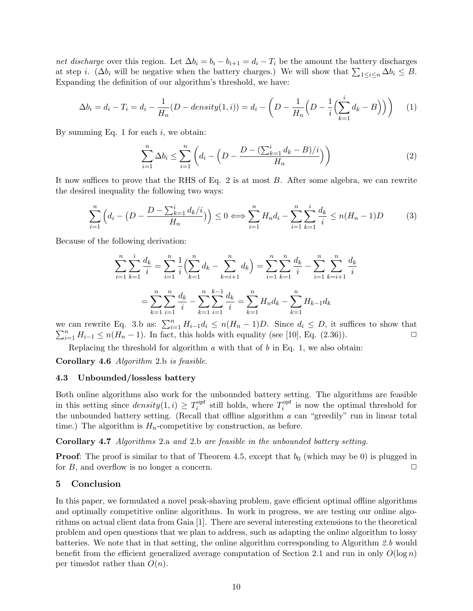net discharge over this region. Let  $\Delta b_i = b_i - b_{i+1} = d_i - T_i$  be the amount the battery discharges at step *i*. ( $\Delta b_i$  will be negative when the battery charges.) We will show that  $\sum_{1 \leq i \leq n} \Delta b_i \leq B$ . Expanding the definition of our algorithm's threshold, we have:

$$
\Delta b_i = d_i - T_i = d_i - \frac{1}{H_n}(D - density(1, i)) = d_i - \left(D - \frac{1}{H_n}\left(D - \frac{1}{i}\left(\sum_{k=1}^i d_k - B\right)\right)\right) \tag{1}
$$

By summing Eq. 1 for each  $i$ , we obtain:

$$
\sum_{i=1}^{n} \Delta b_i \le \sum_{i=1}^{n} \left( d_i - \left( D - \frac{D - (\sum_{k=1}^{i} d_k - B)/i}{H_n} \right) \right) \tag{2}
$$

It now suffices to prove that the RHS of Eq. 2 is at most B. After some algebra, we can rewrite the desired inequality the following two ways:

$$
\sum_{i=1}^{n} \left( d_i - \left( D - \frac{D - \sum_{k=1}^{i} d_k / i}{H_n} \right) \right) \le 0 \Longleftrightarrow \sum_{i=1}^{n} H_n d_i - \sum_{i=1}^{n} \sum_{k=1}^{i} \frac{d_k}{i} \le n(H_n - 1)D \tag{3}
$$

Because of the following derivation:

$$
\sum_{i=1}^{n} \sum_{k=1}^{i} \frac{d_k}{i} = \sum_{i=1}^{n} \frac{1}{i} \left( \sum_{k=1}^{n} d_k - \sum_{k=i+1}^{n} d_k \right) = \sum_{i=1}^{n} \sum_{k=1}^{n} \frac{d_k}{i} - \sum_{i=1}^{n} \sum_{k=i+1}^{n} \frac{d_k}{i}
$$

$$
= \sum_{k=1}^{n} \sum_{i=1}^{n} \frac{d_k}{i} - \sum_{k=1}^{n} \sum_{i=1}^{n} \frac{d_k}{i} = \sum_{k=1}^{n} H_n d_k - \sum_{k=1}^{n} H_{k-1} d_k
$$

we can rewrite Eq. 3.b as:  $\sum_{i=1}^{n} H_{i-1}d_i \le n(H_n-1)D$ . Since  $d_i \le D$ , it suffices to show that  $\sum_{i=1}^{n} H_{i-1} \leq n(H_n - 1)$ . In fact, this holds with equality (see [10], Eq. (2.36)).

Replacing the threshold for algorithm  $a$  with that of  $b$  in Eq. 1, we also obtain:

Corollary 4.6 Algorithm 2.b is feasible.

#### 4.3 Unbounded/lossless battery

Both online algorithms also work for the unbounded battery setting. The algorithms are feasible in this setting since  $density(1, i) \geq T_i^{opt}$  $s_i^{opt}$  still holds, where  $T_i^{opt}$  $i^{opt}$  is now the optimal threshold for the unbounded battery setting. (Recall that offline algorithm a can "greedily" run in linear total time.) The algorithm is  $H_n$ -competitive by construction, as before.

Corollary 4.7 Algorithms 2.a and 2.b are feasible in the unbounded battery setting.

**Proof:** The proof is similar to that of Theorem 4.5, except that  $b_0$  (which may be 0) is plugged in for  $B$ , and overflow is no longer a concern.  $\square$ 

#### 5 Conclusion

In this paper, we formulated a novel peak-shaving problem, gave efficient optimal offline algorithms and optimally competitive online algorithms. In work in progress, we are testing our online algorithms on actual client data from Gaia [1]. There are several interesting extensions to the theoretical problem and open questions that we plan to address, such as adapting the online algorithm to lossy batteries. We note that in that setting, the online algorithm corresponding to Algorithm  $2.b$  would benefit from the efficient generalized average computation of Section 2.1 and run in only  $O(\log n)$ per times lot rather than  $O(n)$ .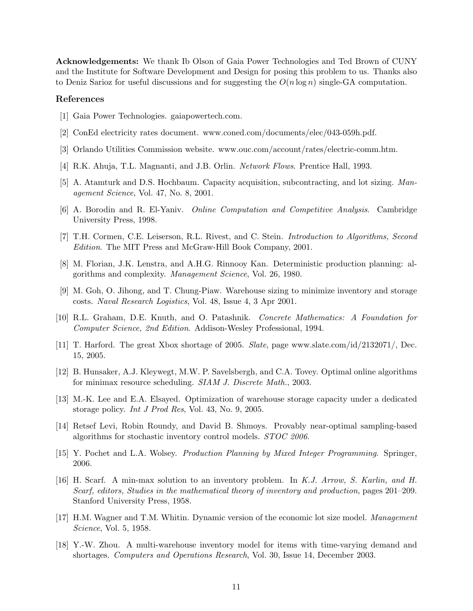Acknowledgements: We thank Ib Olson of Gaia Power Technologies and Ted Brown of CUNY and the Institute for Software Development and Design for posing this problem to us. Thanks also to Deniz Sarioz for useful discussions and for suggesting the  $O(n \log n)$  single-GA computation.

#### References

- [1] Gaia Power Technologies. gaiapowertech.com.
- [2] ConEd electricity rates document. www.coned.com/documents/elec/043-059h.pdf.
- [3] Orlando Utilities Commission website. www.ouc.com/account/rates/electric-comm.htm.
- [4] R.K. Ahuja, T.L. Magnanti, and J.B. Orlin. Network Flows. Prentice Hall, 1993.
- [5] A. Atamturk and D.S. Hochbaum. Capacity acquisition, subcontracting, and lot sizing. Management Science, Vol. 47, No. 8, 2001.
- [6] A. Borodin and R. El-Yaniv. Online Computation and Competitive Analysis. Cambridge University Press, 1998.
- [7] T.H. Cormen, C.E. Leiserson, R.L. Rivest, and C. Stein. Introduction to Algorithms, Second Edition. The MIT Press and McGraw-Hill Book Company, 2001.
- [8] M. Florian, J.K. Lenstra, and A.H.G. Rinnooy Kan. Deterministic production planning: algorithms and complexity. Management Science, Vol. 26, 1980.
- [9] M. Goh, O. Jihong, and T. Chung-Piaw. Warehouse sizing to minimize inventory and storage costs. Naval Research Logistics, Vol. 48, Issue 4, 3 Apr 2001.
- [10] R.L. Graham, D.E. Knuth, and O. Patashnik. Concrete Mathematics: A Foundation for Computer Science, 2nd Edition. Addison-Wesley Professional, 1994.
- [11] T. Harford. The great Xbox shortage of 2005. Slate, page www.slate.com/id/2132071/, Dec. 15, 2005.
- [12] B. Hunsaker, A.J. Kleywegt, M.W. P. Savelsbergh, and C.A. Tovey. Optimal online algorithms for minimax resource scheduling. SIAM J. Discrete Math., 2003.
- [13] M.-K. Lee and E.A. Elsayed. Optimization of warehouse storage capacity under a dedicated storage policy. Int J Prod Res, Vol. 43, No. 9, 2005.
- [14] Retsef Levi, Robin Roundy, and David B. Shmoys. Provably near-optimal sampling-based algorithms for stochastic inventory control models. STOC 2006.
- [15] Y. Pochet and L.A. Wolsey. Production Planning by Mixed Integer Programming. Springer, 2006.
- [16] H. Scarf. A min-max solution to an inventory problem. In K.J. Arrow, S. Karlin, and H. Scarf, editors, Studies in the mathematical theory of inventory and production, pages 201–209. Stanford University Press, 1958.
- [17] H.M. Wagner and T.M. Whitin. Dynamic version of the economic lot size model. Management Science, Vol. 5, 1958.
- [18] Y.-W. Zhou. A multi-warehouse inventory model for items with time-varying demand and shortages. Computers and Operations Research, Vol. 30, Issue 14, December 2003.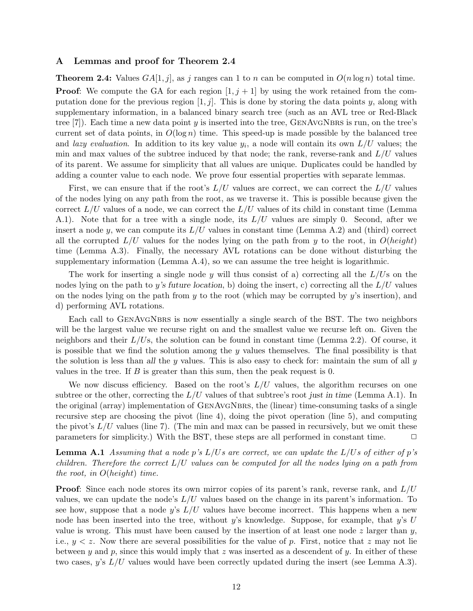# A Lemmas and proof for Theorem 2.4

**Theorem 2.4:** Values  $GA[1, j]$ , as j ranges can 1 to n can be computed in  $O(n \log n)$  total time. **Proof:** We compute the GA for each region  $[1, j + 1]$  by using the work retained from the computation done for the previous region  $[1, j]$ . This is done by storing the data points y, along with supplementary information, in a balanced binary search tree (such as an AVL tree or Red-Black tree  $(7)$ . Each time a new data point y is inserted into the tree, GENAVGNBRS is run, on the tree's current set of data points, in  $O(\log n)$  time. This speed-up is made possible by the balanced tree and lazy evaluation. In addition to its key value  $y_i$ , a node will contain its own  $L/U$  values; the min and max values of the subtree induced by that node; the rank, reverse-rank and  $L/U$  values of its parent. We assume for simplicity that all values are unique. Duplicates could be handled by adding a counter value to each node. We prove four essential properties with separate lemmas.

First, we can ensure that if the root's  $L/U$  values are correct, we can correct the  $L/U$  values of the nodes lying on any path from the root, as we traverse it. This is possible because given the correct  $L/U$  values of a node, we can correct the  $L/U$  values of its child in constant time (Lemma A.1). Note that for a tree with a single node, its  $L/U$  values are simply 0. Second, after we insert a node y, we can compute its  $L/U$  values in constant time (Lemma A.2) and (third) correct all the corrupted  $L/U$  values for the nodes lying on the path from y to the root, in  $O(height)$ time (Lemma A.3). Finally, the necessary AVL rotations can be done without disturbing the supplementary information (Lemma A.4), so we can assume the tree height is logarithmic.

The work for inserting a single node y will thus consist of a) correcting all the  $L/U$ s on the nodes lying on the path to y's future location, b) doing the insert, c) correcting all the  $L/U$  values on the nodes lying on the path from  $y$  to the root (which may be corrupted by  $y$ 's insertion), and d) performing AVL rotations.

Each call to GENAVGNBRS is now essentially a single search of the BST. The two neighbors will be the largest value we recurse right on and the smallest value we recurse left on. Given the neighbors and their  $L/U$ s, the solution can be found in constant time (Lemma 2.2). Of course, it is possible that we find the solution among the  $y$  values themselves. The final possibility is that the solution is less than all the y values. This is also easy to check for: maintain the sum of all  $y$ values in the tree. If  $B$  is greater than this sum, then the peak request is 0.

We now discuss efficiency. Based on the root's  $L/U$  values, the algorithm recurses on one subtree or the other, correcting the  $L/U$  values of that subtree's root just in time (Lemma A.1). In the original (array) implementation of GenAvgNbrs, the (linear) time-consuming tasks of a single recursive step are choosing the pivot (line 4), doing the pivot operation (line 5), and computing the pivot's  $L/U$  values (line 7). (The min and max can be passed in recursively, but we omit these parameters for simplicity.) With the BST, these steps are all performed in constant time.  $\Box$ 

**Lemma A.1** Assuming that a node p's  $L/Us$  are correct, we can update the  $L/Us$  of either of p's children. Therefore the correct  $L/U$  values can be computed for all the nodes lying on a path from the root, in  $O(height)$  time.

**Proof:** Since each node stores its own mirror copies of its parent's rank, reverse rank, and  $L/U$ values, we can update the node's  $L/U$  values based on the change in its parent's information. To see how, suppose that a node y's  $L/U$  values have become incorrect. This happens when a new node has been inserted into the tree, without y's knowledge. Suppose, for example, that y's U value is wrong. This must have been caused by the insertion of at least one node z larger than  $y$ , i.e.,  $y < z$ . Now there are several possibilities for the value of p. First, notice that z may not lie between y and p, since this would imply that z was inserted as a descendent of y. In either of these two cases, y's  $L/U$  values would have been correctly updated during the insert (see Lemma A.3).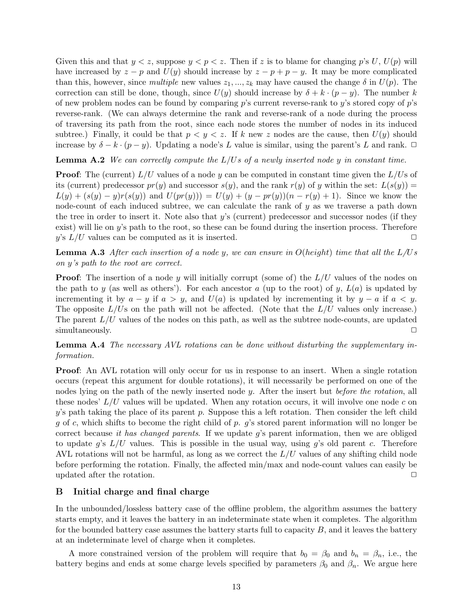Given this and that  $y < z$ , suppose  $y < p < z$ . Then if z is to blame for changing p's U, U(p) will have increased by  $z - p$  and  $U(y)$  should increase by  $z - p + p - y$ . It may be more complicated than this, however, since multiple new values  $z_1, ..., z_k$  may have caused the change  $\delta$  in  $U(p)$ . The correction can still be done, though, since  $U(y)$  should increase by  $\delta + k \cdot (p - y)$ . The number k of new problem nodes can be found by comparing  $p$ 's current reverse-rank to  $y$ 's stored copy of  $p$ 's reverse-rank. (We can always determine the rank and reverse-rank of a node during the process of traversing its path from the root, since each node stores the number of nodes in its induced subtree.) Finally, it could be that  $p < y < z$ . If k new z nodes are the cause, then  $U(y)$  should increase by  $\delta - k \cdot (p - y)$ . Updating a node's L value is similar, using the parent's L and rank.  $\Box$ 

**Lemma A.2** We can correctly compute the  $L/Us$  of a newly inserted node y in constant time.

**Proof:** The (current)  $L/U$  values of a node y can be computed in constant time given the  $L/U$ s of its (current) predecessor  $pr(y)$  and successor  $s(y)$ , and the rank  $r(y)$  of y within the set:  $L(s(y))$  =  $L(y) + (s(y) - y)r(s(y))$  and  $U(pr(y))) = U(y) + (y - pr(y))(n - r(y) + 1)$ . Since we know the node-count of each induced subtree, we can calculate the rank of  $y$  as we traverse a path down the tree in order to insert it. Note also that y's (current) predecessor and successor nodes (if they exist) will lie on y's path to the root, so these can be found during the insertion process. Therefore y's  $L/U$  values can be computed as it is inserted.

**Lemma A.3** After each insertion of a node y, we can ensure in  $O(height)$  time that all the  $L/Us$ on y's path to the root are correct.

**Proof:** The insertion of a node y will initially corrupt (some of) the  $L/U$  values of the nodes on the path to y (as well as others'). For each ancestor a (up to the root) of y,  $L(a)$  is updated by incrementing it by  $a - y$  if  $a > y$ , and  $U(a)$  is updated by incrementing it by  $y - a$  if  $a < y$ . The opposite  $L/U$ s on the path will not be affected. (Note that the  $L/U$  values only increase.) The parent  $L/U$  values of the nodes on this path, as well as the subtree node-counts, are updated simultaneously.

**Lemma A.4** The necessary AVL rotations can be done without disturbing the supplementary information.

**Proof:** An AVL rotation will only occur for us in response to an insert. When a single rotation occurs (repeat this argument for double rotations), it will necessarily be performed on one of the nodes lying on the path of the newly inserted node y. After the insert but before the rotation, all these nodes'  $L/U$  values will be updated. When any rotation occurs, it will involve one node c on  $y$ 's path taking the place of its parent p. Suppose this a left rotation. Then consider the left child g of c, which shifts to become the right child of p. g's stored parent information will no longer be correct because it has changed parents. If we update g's parent information, then we are obliged to update g's  $L/U$  values. This is possible in the usual way, using g's old parent c. Therefore AVL rotations will not be harmful, as long as we correct the  $L/U$  values of any shifting child node before performing the rotation. Finally, the affected min/max and node-count values can easily be updated after the rotation.  $\Box$ 

# B Initial charge and final charge

In the unbounded/lossless battery case of the offline problem, the algorithm assumes the battery starts empty, and it leaves the battery in an indeterminate state when it completes. The algorithm for the bounded battery case assumes the battery starts full to capacity  $B$ , and it leaves the battery at an indeterminate level of charge when it completes.

A more constrained version of the problem will require that  $b_0 = \beta_0$  and  $b_n = \beta_n$ , i.e., the battery begins and ends at some charge levels specified by parameters  $\beta_0$  and  $\beta_n$ . We argue here